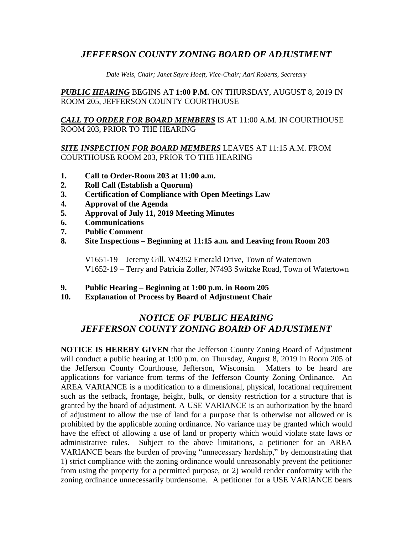## *JEFFERSON COUNTY ZONING BOARD OF ADJUSTMENT*

*Dale Weis, Chair; Janet Sayre Hoeft, Vice-Chair; Aari Roberts, Secretary*

*PUBLIC HEARING* BEGINS AT **1:00 P.M.** ON THURSDAY, AUGUST 8, 2019 IN ROOM 205, JEFFERSON COUNTY COURTHOUSE

*CALL TO ORDER FOR BOARD MEMBERS* IS AT 11:00 A.M. IN COURTHOUSE ROOM 203, PRIOR TO THE HEARING

#### *SITE INSPECTION FOR BOARD MEMBERS* LEAVES AT 11:15 A.M. FROM COURTHOUSE ROOM 203, PRIOR TO THE HEARING

- **1. Call to Order-Room 203 at 11:00 a.m.**
- **2. Roll Call (Establish a Quorum)**
- **3. Certification of Compliance with Open Meetings Law**
- **4. Approval of the Agenda**
- **5. Approval of July 11, 2019 Meeting Minutes**
- **6. Communications**
- **7. Public Comment**
- **8. Site Inspections – Beginning at 11:15 a.m. and Leaving from Room 203**

V1651-19 – Jeremy Gill, W4352 Emerald Drive, Town of Watertown V1652-19 – Terry and Patricia Zoller, N7493 Switzke Road, Town of Watertown

- **9. Public Hearing – Beginning at 1:00 p.m. in Room 205**
- **10. Explanation of Process by Board of Adjustment Chair**

# *NOTICE OF PUBLIC HEARING JEFFERSON COUNTY ZONING BOARD OF ADJUSTMENT*

**NOTICE IS HEREBY GIVEN** that the Jefferson County Zoning Board of Adjustment will conduct a public hearing at 1:00 p.m. on Thursday, August 8, 2019 in Room 205 of the Jefferson County Courthouse, Jefferson, Wisconsin. Matters to be heard are applications for variance from terms of the Jefferson County Zoning Ordinance. An AREA VARIANCE is a modification to a dimensional, physical, locational requirement such as the setback, frontage, height, bulk, or density restriction for a structure that is granted by the board of adjustment. A USE VARIANCE is an authorization by the board of adjustment to allow the use of land for a purpose that is otherwise not allowed or is prohibited by the applicable zoning ordinance. No variance may be granted which would have the effect of allowing a use of land or property which would violate state laws or administrative rules. Subject to the above limitations, a petitioner for an AREA VARIANCE bears the burden of proving "unnecessary hardship," by demonstrating that 1) strict compliance with the zoning ordinance would unreasonably prevent the petitioner from using the property for a permitted purpose, or 2) would render conformity with the zoning ordinance unnecessarily burdensome. A petitioner for a USE VARIANCE bears